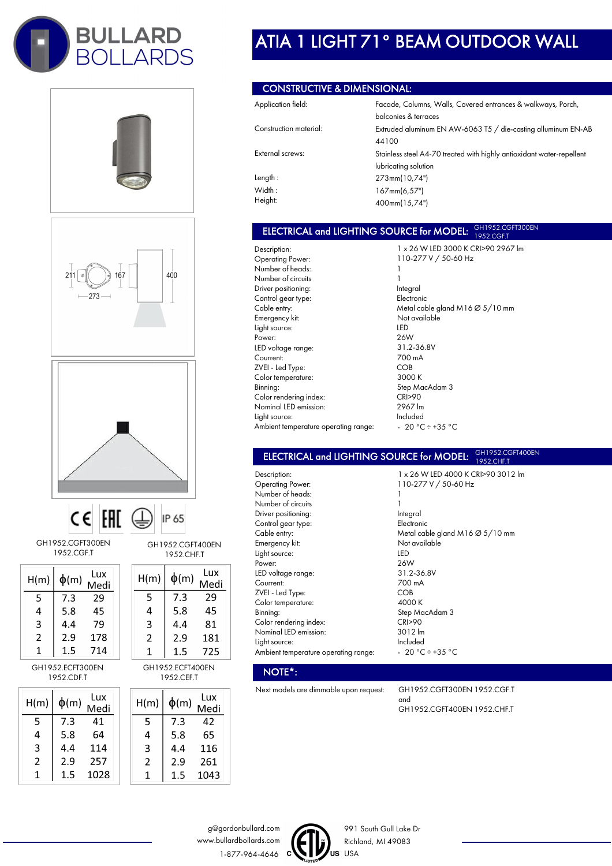









GH1952.CGFT300EN 1952.CGF.T

| H(m) | $\phi$ (m) | Lux<br>Medi |
|------|------------|-------------|
| 5    | 7.3        | 29          |
| 4    | 5.8        | 45          |
| 3    | 4.4        | 79          |
| 2    | 2.9        | 178         |
|      | -5         | 4           |

GH1952.ECFT300EN 1952.CDF.T

| H(m) | $\phi(m)$ | Lux<br>Medi |
|------|-----------|-------------|
| 5    | 7.3       | 41          |
| 4    | 5.8       | 64          |
| 3    | 4.4       | 114         |
| 2    | 2.9       | 257         |
| 1    | 1.5       | 1028        |

GH1952.CGFT400EN 1952.CHF.T  $\left| \begin{array}{cccc} 1 & 1 \\ 0 & 1 \end{array} \right|$  Lux

IP 65

| ψ(m) | Medi |
|------|------|
| 7.3  | 29   |
| 5.8  | 45   |
| 4.4  | 81   |
| 2.9  | 181  |
| 1.5  | 725  |
|      |      |

GH1952.ECFT400EN 1952.CEF.T

| H(m) | $\phi(m)$ | Lux  |
|------|-----------|------|
|      |           | Medi |
| 5    | 7.3       | 42   |
| 4    | 5.8       | 65   |
| 3    | 4.4       | 116  |
| 2    | 2.9       | 261  |
| 1    | 1.5       | 1043 |

# ATIA 1 LIGHT 71° BEAM OUTDOOR WALL

### CONSTRUCTIVE & DIMENSIONAL:

| Application field:     | Facade, Columns, Walls, Covered entrances & walkways, Porch,          |
|------------------------|-----------------------------------------------------------------------|
|                        | balconies & terraces                                                  |
| Construction material: | Extruded aluminum EN AW-6063 T5 / die-casting alluminum EN-AB         |
|                        | 44100                                                                 |
| External screws:       | Stainless steel A4-70 treated with highly antioxidant water-repellent |
|                        | lubricating solution                                                  |
| Length:                | 273mm(10,74")                                                         |
| Width:                 | 167mm(6,57")                                                          |
| Height:                | 400mm(15,74")                                                         |

### ELECTRICAL and LIGHTING SOURCE for MODEL: **GH1952.CGFT300EN** 1952.CGF.T

Description: Operating Power: Number of heads: Number of circuits Driver positioning: Control gear type: Cable entry: Emergency kit: Light source: Power: LED voltage range: Courrent: ZVEI - Led Type: Color temperature: Binning: Color rendering index: Nominal LED emission: Light source: Ambient temperature operating range:

1 x 26 W LED 3000 K CRI>90 2967 lm 110-277 V / 50-60 Hz 1 1 Integral Electronic Metal cable gland M16 Ø 5/10 mm Not available LED 26W 31.2-36.8V 700 mA COB 3000 K Step MacAdam 3 CRI>90 2967 lm Included  $-20 °C \div 35 °C$ 

1 x 26 W LED 4000 K CRI>90 3012 lm

110-277 V / 50-60 Hz

#### ELECTRICAL and LIGHTING SOURCE for MODEL: GH1952.CGFT400EN 1952.CHF.T

1

Description: Operating Power: Number of heads: Number of circuits Driver positioning: Control gear type: Cable entry: Emergency kit: Light source: Power: LED voltage range: Courrent: ZVEI - Led Type: Color temperature: Binning: Color rendering index: Nominal LED emission: Light source: Ambient temperature operating range:

1 Integral Electronic Metal cable gland M16 Ø 5/10 mm Not available LED 26W 31.2-36.8V 700 mA COB 4000 K Step MacAdam 3 CRI>90 3012 lm Included - 20 °C ÷ +35 °C

### NOTE\*:

Next models are dimmable upon request: GH1952.CGFT300EN 1952.CGF.T

and GH1952.CGFT400EN 1952.CHF.T





991 South Gull Lake Dr Richland, MI 49083